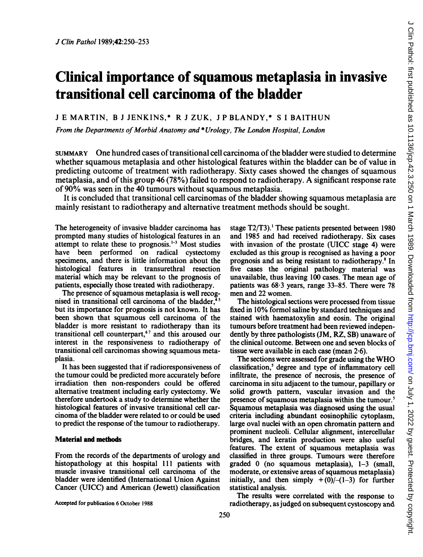# Clinical importance of squamous metaplasia in invasive transitional cell carcinoma of the bladder

<sup>J</sup> E MARTIN, B <sup>J</sup> JENKINS,\* R <sup>J</sup> ZUK, <sup>J</sup> P BLANDY,\* <sup>S</sup> <sup>I</sup> BAITHUN

From the Departments of Morbid Anatomy and \*Urology, The London Hospital, London

SUMMARY One hundred cases oftransitional cell carcinoma ofthe bladder were studied to determine whether squamous metaplasia and other histological features within the bladder can be of value in predicting outcome of treatment with radiotherapy. Sixty cases showed the changes of squamous metaplasia, and of this group <sup>46</sup> (78%) failed to respond to radiotherapy. A significant response rate of 90% was seen in the 40 tumours without squamous metaplasia.

It is concluded that transitional cell carcinomas of the bladder showing squamous metaplasia are mainly resistant to radiotherapy and alternative treatment methods should be sought.

The heterogeneity of invasive bladder carcinoma has prompted many studies of histological features in an attempt to relate these to prognosis.<sup> $1-3$ </sup> Most studies have been performed on radical cystectomy specimens, and there is little information about the histological features in transurethral resection material which may be relevant to the prognosis of patients, especially those treated with radiotherapy.

The presence of squamous metaplasia is well recognised in transitional cell carcinoma of the bladder,<sup>4</sup> but its importance for prognosis is not known. It has been shown that squamous cell carcinoma of the bladder is more resistant to radiotherapy than its transitional cell counterpart,67 and this aroused our interest in the responsiveness to radiotherapy of transitional cell carcinomas showing squamous metaplasia.

It has been suggested that if radioresponsiveness of the tumour could be predicted more accurately before irradiation then non-responders could be offered alternative treatment including early cystectomy. We therefore undertook a study to determine whether the histological features of invasive transitional cell carcinoma of the bladder were related to or could be used to predict the response of the tumour to radiotherapy.

## Material and methods

From the records of the departments of urology and histopathology at this hospital 111 patients with muscle invasive transitional cell carcinoma of the bladder were identified (International Union Against Cancer (UICC) and American (Jewett) classification

Accepted for publication 6 October 1988

stage T2/T3).' These patients presented between 1980 and 1985 and had received radiotherapy. Six cases with invasion of the prostate (UICC stage 4) were excluded as this group is recognised as having a poor prognosis and as being resistant to radiotherapy.8 In five cases the original pathology material was unavailable, thus leaving 100 cases. The mean age of patients was  $68.3$  years, range  $33-85$ . There were 78 men and 22 women.

The histological sections were processed from tissue fixed in 10% formol saline by standard techniques and stained with haematoxylin and eosin. The original tumours before treatment had been reviewed independently by three pathologists (JM, RZ, SB) unaware of the clinical outcome. Between one and seven blocks of tissue were available in each case (mean 2.6).

The sections were assessed for grade using the WHO classification,<sup>5</sup> degree and type of inflammatory cell infiltrate, the presence of necrosis, the presence of carcinoma in situ adjacent to the tumour, papillary or solid growth pattern, vascular invasion and the presence of squamous metaplasia within the tumour.<sup>5</sup> Squamous metaplasia was diagnosed using the usual criteria including abundant eosinophilic cytoplasm, large oval nuclei with an open chromatin pattern and prominent nucleoli. Cellular alignment, intercellular bridges, and keratin production were also useful features. The extent of squamous metaplasia was classified in three groups. Tumours were therefore graded 0 (no squamous metaplasia), 1-3 (small, moderate, or extensive areas of squamous metaplasia) initially, and then simply  $+(0)/-(1-3)$  for further statistical analysis.

The results were correlated with the response to radiotherapy, as judged on subsequent cystoscopy and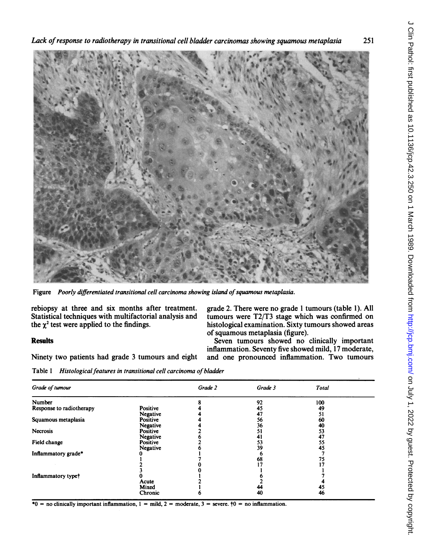Lack ofresponse to radiotherapy in transitional cell bladder carcinomas showing squamous metaplasia 251



Figure Poorly differentiated transitional cell carcinoma showing island of squamous metaplasia.

rebiopsy at three and six months after treatment. grade 2. There were no grade 1 tumours (table 1). All Statistical techniques with multifactorial analysis and tumours were T2/T3 stage which was confirmed on Statistical techniques with multifactorial analysis and tumours were  $T2/T3$  stage which was confirmed on the  $\chi^2$  test were applied to the findings.<br>histological examination. Sixty tumours showed areas

Ninety two patients had grade <sup>3</sup> tumours and eight and one pronounced inflammation. Two tumours

histological examination. Sixty tumours showed areas of squamous metaplasia (figure).

Results Seven tumours showed no clinically important inflammation. Seventy five showed mild, 17 moderate,

Table 1 Histological features in transitional cell carcinoma of bladder

| Grade of tumour          |                           | Grade 2 | Grade 3  | <b>Total</b> |  |
|--------------------------|---------------------------|---------|----------|--------------|--|
| Number                   |                           |         | 92       | 100          |  |
| Response to radiotherapy | Positive<br>Negative      |         | 45<br>47 | 49<br>51     |  |
| Squamous metaplasia      | Positive<br>Negative      |         | 56<br>36 | 60<br>40     |  |
| Necrosis                 | Positive<br>Negative      |         | 51<br>41 | 53<br>47     |  |
| Field change             | Positive<br>Negative      |         | 53<br>39 | 55<br>45     |  |
| Inflammatory grade*      |                           |         | n        |              |  |
|                          |                           |         | 68       | 75           |  |
| Inflammatory type+       |                           |         |          |              |  |
|                          | Acute<br>Mixed<br>Chronic |         | 44<br>40 | 45<br>46     |  |

\*0 = no clinically important inflammation,  $1 = mid$ ,  $2 = moderate$ ,  $3 = severe$ .  $\uparrow$  0 = no inflammation.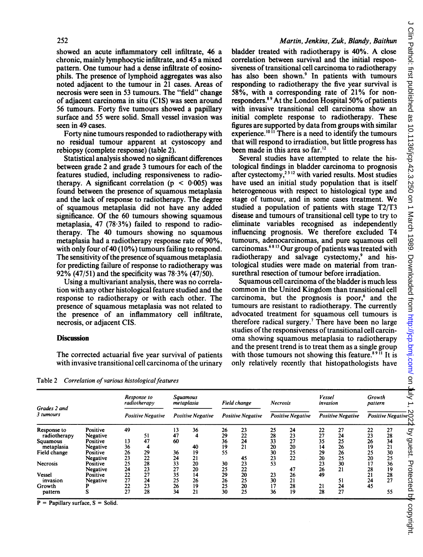showed an acute inflammatory cell infiltrate, 46 a chronic, mainly lymphocytic infiltrate, and 45 a mixed pattern. One tumour had a dense infiltrate of eosinophils. The presence of lymphoid aggregates was also noted adjacent to the tumour in 21 cases. Areas of necrosis were seen in 53 tumours. The "field" change of adjacent carcinoma in situ (CIS) was seen around 56 tumours. Forty five tumours showed a papillary surface and 55 were solid. Small vessel invasion was seen in 49 cases.

Forty nine tumours responded to radiotherapy with no residual tumour apparent at cystoscopy and rebiopsy (complete response) (table 2).

Statistical analysis showed no significant differences between grade 2 and grade 3 tumours for each of the features studied, including responsiveness to radiotherapy. A significant correlation ( $p < 0.005$ ) was found between the presence of squamous metaplasia and the lack of response to radiotherapy. The degree of squamous metaplasia did not have any added significance. Of the 60 tumours showing squamous metaplasia, 47 (78 $\cdot$ 3%) failed to respond to radiotherapy. The 40 tumours showing no squamous metaplasia had a radiotherapy response rate of 90%, with only four of 40 (10%) tumours failing to respond. The sensitivity of the presence of squamous metaplasia for predicting failure of response to radiotherapy was 92% (47/51) and the specificity was  $78.3\%$  (47/50).

Using a multivariant analysis, there was no correlation with any other histological feature studied and the response to radiotherapy or with each other. The presence of squamous metaplasia was not related to the presence of an inflammatory cell infiltrate, necrosis, or adjacent CIS.

### **Discussion**

The corrected actuarial five year survival of patients with invasive transitional cell carcinoma of the urinary

Martin, Jenkins, Zuk, Blandy, Baithun

bladder treated with radiotherapy is 40%. A close correlation between survival and the initial responsiveness of transitional cell carcinoma to radiotherapy has also been shown.<sup>9</sup> In patients with tumours responding to radiotherapy the five year survival is 58%, with a corresponding rate of 21% for nonresponders.<sup>89</sup> At the London Hospital 50% of patients with invasive transitional cell carcinoma show an initial complete response to radiotherapy. These figures are supported by data from groups with similar experience.<sup> $10\bar{1}$ </sup> There is a need to identify the tumours that will respond to irradiation, but little progress has been made in this area so far.<sup>12</sup>

Several studies have attempted to relate the histological findings in bladder carcinoma to prognosis after cystectomy,<sup>2312</sup> with varied results. Most studies have used an initial study population that is itself heterogeneous with respect to histological type and stage of tumour, and in some cases treatment. We studied a population of patients with stage T2/T3 disease and tumours of transitional cell type to try to eliminate variables recognised as independently influencing prognosis. We therefore excluded T4 tumours, adenocarcinomas, and pure squamous cell carcinomas.<sup>6813</sup> Our group of patients was treated with radiotherapy and salvage cystectomy,<sup>9</sup> and histological studies were made on material from transurethral resection of tumour before irradiation.

Squamous cell carcinoma of the bladder is much less common in the United Kingdom than transitional cell carcinoma, but the prognosis is poor, $6$  and the tumours are resistant to radiotherapy. The currently advocated treatment for squamous cell tumours is therefore radical surgery.7 There have been no large studies of the responsiveness of transitional cell carcinoma showing squamous metaplasia to radiotherapy and the present trend is to treat them as a single group with those tumours not showing this feature.<sup>8911</sup> It is only relatively recently that histopathologists have

Table 2 Correlation of various histological features

| Grades 2 and<br>3 tumours                                                         |                                                                                              |                                        | Response to<br>radiotherapy |                                        | Squamous<br>metaplasia                |                                        | Field change                           | <b>Necrosis</b>                        |                                        | Vessel<br>invasion                           |                                              | Growth<br>pattern                            |                                              |  |
|-----------------------------------------------------------------------------------|----------------------------------------------------------------------------------------------|----------------------------------------|-----------------------------|----------------------------------------|---------------------------------------|----------------------------------------|----------------------------------------|----------------------------------------|----------------------------------------|----------------------------------------------|----------------------------------------------|----------------------------------------------|----------------------------------------------|--|
|                                                                                   |                                                                                              | <b>Positive Negative</b>               |                             | <b>Positive Negative</b>               |                                       | <b>Positive Negative</b>               |                                        | <b>Positive Negative</b>               |                                        | Positive Negative                            |                                              | Positive Negative                            |                                              |  |
| Response to<br>radiotherapy<br>Squamous<br>metaplasia<br>Field change<br>Necrosis | Positive<br>Negative<br>Positive<br>Negative<br>Positive<br>Negative<br>Positive<br>Negative | 49<br>13<br>36<br>26<br>23<br>25<br>24 | 47<br>29<br>22<br>28<br>23  | 13<br>47<br>60<br>36<br>24<br>33<br>27 | 36<br>4<br>40<br>19<br>21<br>20<br>20 | 26<br>29<br>36<br>19<br>55<br>30<br>25 | 23<br>22<br>24<br>21<br>45<br>23<br>22 | 25<br>28<br>33<br>20<br>30<br>23<br>53 | 24<br>23<br>27<br>20<br>25<br>22<br>47 | 22<br>27<br>35<br>14<br>29<br>20<br>23<br>26 | 27<br>24<br>25<br>26<br>26<br>25<br>30<br>21 | 22<br>23<br>26<br>19<br>25<br>20<br>17<br>28 | 27<br>28<br>34<br>21<br>30<br>25<br>36<br>19 |  |
| Vessel<br>invasion<br>Growth<br>pattern                                           | Positive<br>Negative                                                                         | 22<br>27<br>22<br>27                   | 27<br>24<br>23<br>28        | 35<br>25<br>26<br>34                   | 14<br>26<br>19<br>21                  | 29<br>26<br>25<br>30                   | 20<br>25<br>20<br>25                   | 23<br>30<br>17<br>36                   | 26<br>21<br>28<br>19                   | 49<br>21<br>28                               | 51<br>24<br>27                               | 21<br>24<br>45                               | 28<br>27<br>55                               |  |

 $P =$  Papillary surface,  $S =$  Solid.